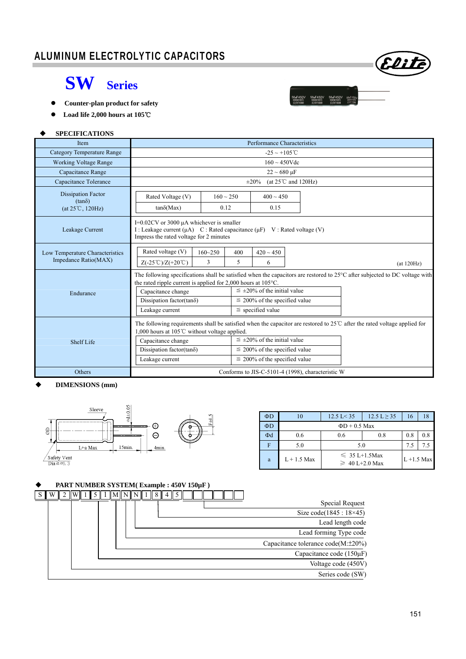## I ALUMINUM ELECTROLYTIC CAPACITORS



56**աF450V 56աF450V**<br>ՏW1M105C ՏW1M105C

## **SW Series**

- **Counter-plan product for safety**
- **Load life 2,000 hours at 105**℃

#### **SPECIFICATIONS**

| <b>Item</b>                                                             | Performance Characteristics                                                                                                                                                                                                                                                                                                                                                                             |                                                                                                                                                                                     |                                                |  |  |  |  |
|-------------------------------------------------------------------------|---------------------------------------------------------------------------------------------------------------------------------------------------------------------------------------------------------------------------------------------------------------------------------------------------------------------------------------------------------------------------------------------------------|-------------------------------------------------------------------------------------------------------------------------------------------------------------------------------------|------------------------------------------------|--|--|--|--|
| <b>Category Temperature Range</b>                                       | $-25 \sim +105$ °C                                                                                                                                                                                                                                                                                                                                                                                      |                                                                                                                                                                                     |                                                |  |  |  |  |
| <b>Working Voltage Range</b>                                            |                                                                                                                                                                                                                                                                                                                                                                                                         |                                                                                                                                                                                     | $160 \sim 450$ Vdc                             |  |  |  |  |
| Capacitance Range                                                       |                                                                                                                                                                                                                                                                                                                                                                                                         |                                                                                                                                                                                     | $22 \sim 680 \text{ }\mu\text{F}$              |  |  |  |  |
| Capacitance Tolerance                                                   |                                                                                                                                                                                                                                                                                                                                                                                                         |                                                                                                                                                                                     | (at $25^{\circ}$ C and $120$ Hz)<br>$\pm 20\%$ |  |  |  |  |
| <b>Dissipation Factor</b><br>$(tan\delta)$<br>$(at 25^{\circ}C, 120Hz)$ | Rated Voltage (V)<br>$tan\delta(Max)$                                                                                                                                                                                                                                                                                                                                                                   | $160 \sim 250$<br>0.12                                                                                                                                                              | $400 \sim 450$<br>0.15                         |  |  |  |  |
| Leakage Current                                                         |                                                                                                                                                                                                                                                                                                                                                                                                         | $I=0.02CV$ or 3000 $\mu A$ whichever is smaller<br>I : Leakage current ( $\mu$ A) C : Rated capacitance ( $\mu$ F) V : Rated voltage (V)<br>Impress the rated voltage for 2 minutes |                                                |  |  |  |  |
| Low Temperature Characteristics<br>Impedance Ratio(MAX)                 | Rated voltage (V)<br>$160 - 250$<br>400<br>$420 \sim 450$<br>5<br>$Z(-25^{\circ}\text{C})/Z(+20^{\circ}\text{C})$<br>3<br>6<br>(at 120 Hz)                                                                                                                                                                                                                                                              |                                                                                                                                                                                     |                                                |  |  |  |  |
| Endurance                                                               | The following specifications shall be satisfied when the capacitors are restored to $25^{\circ}$ C after subjected to DC voltage with<br>the rated ripple current is applied for $2,000$ hours at $105^{\circ}$ C.<br>$\leq \pm 20\%$ of the initial value<br>Capacitance change<br>Dissipation factor(tan $\delta$ )<br>$\leq$ 200% of the specified value<br>$\le$ specified value<br>Leakage current |                                                                                                                                                                                     |                                                |  |  |  |  |
| Shelf Life                                                              | The following requirements shall be satisfied when the capacitor are restored to 25 <sup>°</sup> C after the rated voltage applied for<br>1,000 hours at 105℃ without voltage applied.<br>$\leq \pm 20\%$ of the initial value<br>Capacitance change<br>Dissipation factor(tan $\delta$ )<br>$\leq$ 200% of the specified value<br>$\leq$ 200% of the specified value<br>Leakage current                |                                                                                                                                                                                     |                                                |  |  |  |  |
| Others                                                                  | Conforms to JIS-C-5101-4 (1998), characteristic W                                                                                                                                                                                                                                                                                                                                                       |                                                                                                                                                                                     |                                                |  |  |  |  |

#### **DIMENSIONS (mm)**



| $\Phi$ D | 10            | $12.5 \text{ L} < 35$<br>$12.5 L \ge 35$  |               | 16  |     |  |  |  |
|----------|---------------|-------------------------------------------|---------------|-----|-----|--|--|--|
| ΦD       |               | $\Phi$ D + 0.5 Max                        |               |     |     |  |  |  |
| $\Phi$ d | 0.6           | 0.8<br>0.6                                |               | 0.8 | 0.8 |  |  |  |
| F        | 5.0           | 5.0                                       |               |     |     |  |  |  |
| a        | $L + 1.5$ Max | $\leq 35$ L+1.5Max<br>$\geq 40$ L+2.0 Max | $L + 1.5$ Max |     |     |  |  |  |

## **PART NUMBER SYSTEM( Example : 450V 150µF )**